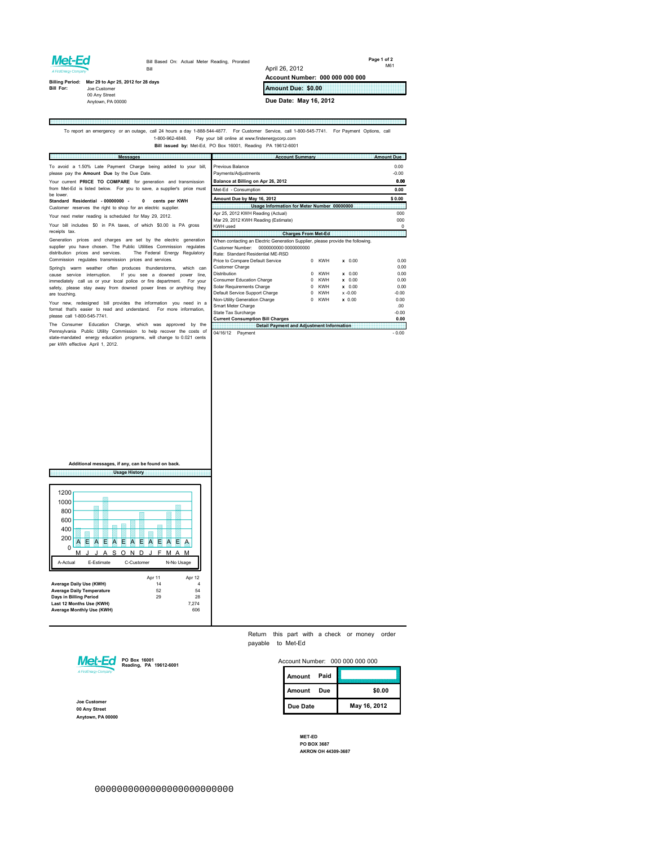## Met-Ed

Ē

Bill Based On: Actual Meter Reading, Prorated Bill

**Page 1 of 2** M61

## **Billing Period: Mar 29 to Apr 25, 2012 for 28 days<br>Bill For: Joe Customer** Joe Customer<br>00 Any Street Anytown, PA 00000

**Amount Due: \$0.00**

**Account Number: 000 000 000 000**

**Due Date: May 16, 2012**

April 26, 2012

## To report an emergency or an outage, call 24 hours a day 1-888-544-4877. For Customer Service, call 1-800-545-7741. For Payment Options, call<br>1-800-962-4848. Pay your bill online at www.firstenergycorp.com **Bill issued by:** Met-Ed, PO Box 16001, Reading PA 19612-6001

E **Messages Account Summary** *Amount Due* Previous Balance 0.00<br>Payments/Adjustments 4.000 To avoid a 1.50% Late Payment Charge being added to your bill, please pay the **Amount Due** by the Due Date. Payments/Adjustments<br> **Payments/Adjustments -0.00**<br> **Balance at Billing on Apr 26, 2012 Balance at Billing on Apr 26, 2012** Your current **PRICE TO COMPARE** for generation and transmission Met-Ed - Consumption 0.00 from Met-Ed is listed below. For you to save, a supplier's price must be lower. **Amount Due by May 16, 2012 \$ 0.00 Standard Residential - 00000000 - 0 cents per KWH Usage Information for Meter Num** Customer reserves the right to shop for an electric supplier. Your next meter reading is scheduled for May 29, 2012. Apr 25, 2012 KWH Reading (Actual) 000 Mar 29, 2012 KWH Reading (Estimate) 000 Your bill includes \$0 in PA taxes, of which \$0.00 is PA gross KWH used 0 receipts tax. **Charges From Met-Ed** When contacting an Electric Generation Supplier, please provide the following. Generation prices and charges are set by the electric generation supplier you have chosen. The Public Utilities Commission regulates Customer Number: 0000000000 0000000000 Rate: Standard Residential ME-RSD Price to Compare Default Service 0 KWH x 0.00 0.00 Customer Charge 0.00 distribution prices and services. The Federal Energy Regulatory Commission regulates transmission prices and services. Spring's warm weather often produces thunderstorms, which can<br>cause service interruption. If you see a downed power line,<br>immediately call us or your local police or fire department. For your<br>safety, please stay away from Distribution 0 KWH x 0.00 0.00 Consumer Education Charge 0 KWH x 0.00 0.00 Solar Requirements Charge  $0$  KWH x 0.00 0.00 are touching. Default Service Support Charge  $0$  KWH x -0.00  $-0.00$ Non-Utility Generation Charge  $0$  KWH  $x$  0.00 0.00 Your new, redesigned bill provides the infor Smart Meter Charge .00 format that's easier to read and understand. For more information, please call 1-800-545-7741. State Tax Surcharge -0.000 -0.000 -0.000 -0.000 -0.000 -0.000 -0.000 -0.000 -0.000 -0.000 -0.000 -0.000 -0.00 **Current Consumption Bill Charges 0.00** The Consumer Education Charge, which was approved by the Pennsylvania Public Utility Commission to help recover the costs of **Detail Payment and Adjustment Information**

state-mandated energy education programs, will change to 0.021 cents per kWh effective April 1, 2012.

| services.                                     | Price to Compare Default Service          |          | 0 KWH      | $x$ 0.00   | 0.0     |
|-----------------------------------------------|-------------------------------------------|----------|------------|------------|---------|
| nderstorms.<br>which can                      | <b>Customer Charge</b>                    |          |            |            | 0.0     |
| a downed<br>power<br>line.                    | <b>Distribution</b>                       | $\Omega$ | <b>KWH</b> | $x$ 0.00   | 0.0     |
| e department.<br>For your                     | Consumer Education Charge                 | $\Omega$ | <b>KWH</b> | $x$ 0.00   | 0.0     |
| r lines or anything they                      | Solar Requirements Charge                 | $\Omega$ | <b>KWH</b> | $x$ 0.00   | 0.0     |
|                                               | Default Service Support Charge            | $\Omega$ | <b>KWH</b> | $x - 0.00$ | $-0.00$ |
|                                               | Non-Utility Generation Charge             | $\Omega$ | <b>KWH</b> | $x$ 0.00   | 0.00    |
| mation you need in a<br>For more information, | Smart Meter Charge                        |          |            |            | .00     |
|                                               | State Tax Surcharge                       |          |            |            | $-0.00$ |
|                                               | <b>Current Consumption Bill Charges</b>   |          |            |            | 0.00    |
| approved<br>by the<br>was                     | Detail Payment and Adjustment Information |          |            |            |         |
| elp recover the costs of                      | 04/16/12<br>Payment                       |          |            |            | $-0.00$ |
| ill change to 0.021 cents                     |                                           |          |            |            |         |
|                                               |                                           |          |            |            |         |
|                                               |                                           |          |            |            |         |
|                                               |                                           |          |            |            |         |
|                                               |                                           |          |            |            |         |
|                                               |                                           |          |            |            |         |
|                                               |                                           |          |            |            |         |
|                                               |                                           |          |            |            |         |
|                                               |                                           |          |            |            |         |
|                                               |                                           |          |            |            |         |
|                                               |                                           |          |            |            |         |
|                                               |                                           |          |            |            |         |
|                                               |                                           |          |            |            |         |
|                                               |                                           |          |            |            |         |

**Additional messages, if any, can be found on back.**



**PO Box 16001 Reading, PA 19612-6001**

**Joe Customer 00 Any Street Anytown, PA 00000**

Return this part with a check or money order payable to Met-Ed

| Account Number: 000 000 000 000 |  |
|---------------------------------|--|
|                                 |  |

| Amount<br>Paid |              |
|----------------|--------------|
| Amount<br>Due  | \$0.00       |
| Due Date       | May 16, 2012 |

**MET-ED PO BOX 3687 AKRON OH 44309-3687**